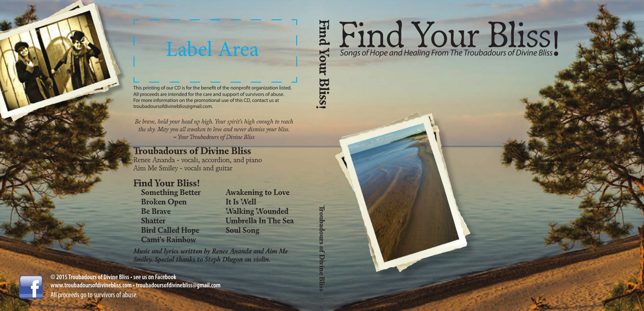

Label Area

This printing of our CD is for the benefit of the nonprofit organization listed. All proceeds are intended for the care and support of survivors of abuse. For more information on the promotional use of this CD, contact us at troubadoursofdivinebliss@gmail.com.

*Be brave, hold your head up high. Your spirit's high enough to reach the sky. May you all awaken to love and never dismiss your bliss. – Your Troubadours of Divine Bliss*

### **Troubadours of Divine Bliss**

Renee Ananda - vocals, accordion, and piano Aim Me Smiley - vocals and guitar

### **Find Your Bliss!**

**Something Better Broken Open Be Brave Shatter Bird Called Hope Cami's Rainbow** 

**Awakening to Love It Is Well Walking Wounded Umbrella In The Sea Soul Song**

**Troubadours of Divine Bliss**

**Bliss!** 

*Music and lyrics written by Renee Ananda and Aim Me Smiley. Special thanks to Steph Dlugon on violin.*

#### **© 2015 Troubadours of Divine Bliss • see us on Facebook www.troubadoursofdivinebliss.com • troubadoursofdivinebliss@gmail.com** All proceeds go to survivors of abuse.

# Find Your Bliss **Songs of Hope and Healing From The Troubadours of Divine Bliss Find Your Bliss!**